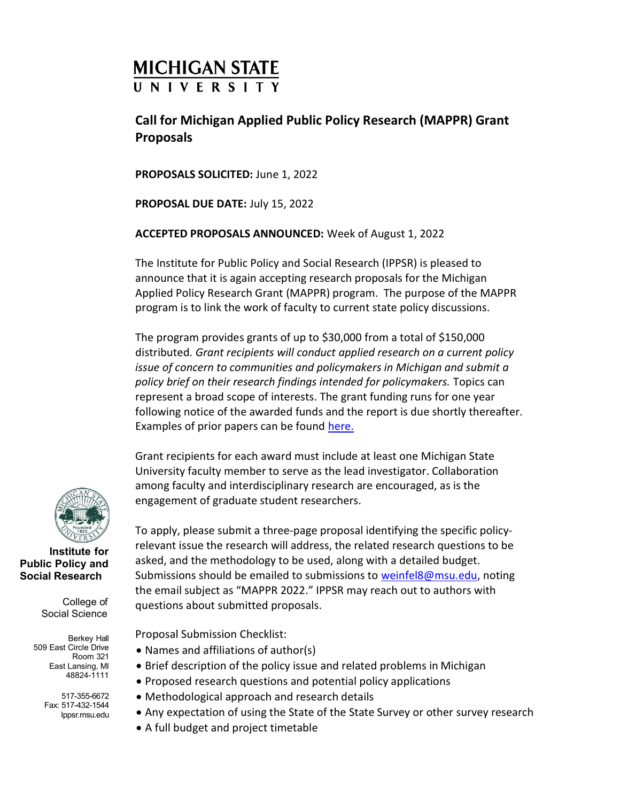# **MICHIGAN STATE UNIVERSITY**

## Call for Michigan Applied Public Policy Research (MAPPR) Grant Proposals

PROPOSALS SOLICITED: June 1, 2022

PROPOSAL DUE DATE: July 15, 2022

ACCEPTED PROPOSALS ANNOUNCED: Week of August 1, 2022

The Institute for Public Policy and Social Research (IPPSR) is pleased to announce that it is again accepting research proposals for the Michigan Applied Policy Research Grant (MAPPR) program. The purpose of the MAPPR program is to link the work of faculty to current state policy discussions.

The program provides grants of up to \$30,000 from a total of \$150,000 distributed. Grant recipients will conduct applied research on a current policy issue of concern to communities and policymakers in Michigan and submit a policy brief on their research findings intended for policymakers. Topics can represent a broad scope of interests. The grant funding runs for one year following notice of the awarded funds and the report is due shortly thereafter. Examples of prior papers can be found here.

Grant recipients for each award must include at least one Michigan State University faculty member to serve as the lead investigator. Collaboration among faculty and interdisciplinary research are encouraged, as is the engagement of graduate student researchers.



Institute for Public Policy and Social Research

> College of Social Science

Berkey Hall 509 East Circle Drive Room 321 East Lansing, MI 48824-1111

> 517-355-6672 Fax: 517-432-1544 Ippsr.msu.edu

To apply, please submit a three-page proposal identifying the specific policyrelevant issue the research will address, the related research questions to be asked, and the methodology to be used, along with a detailed budget. Submissions should be emailed to submissions to weinfel8@msu.edu, noting the email subject as "MAPPR 2022." IPPSR may reach out to authors with questions about submitted proposals.

Proposal Submission Checklist:

- Names and affiliations of author(s)
- Brief description of the policy issue and related problems in Michigan
- Proposed research questions and potential policy applications
- Methodological approach and research details
- Any expectation of using the State of the State Survey or other survey research
- A full budget and project timetable